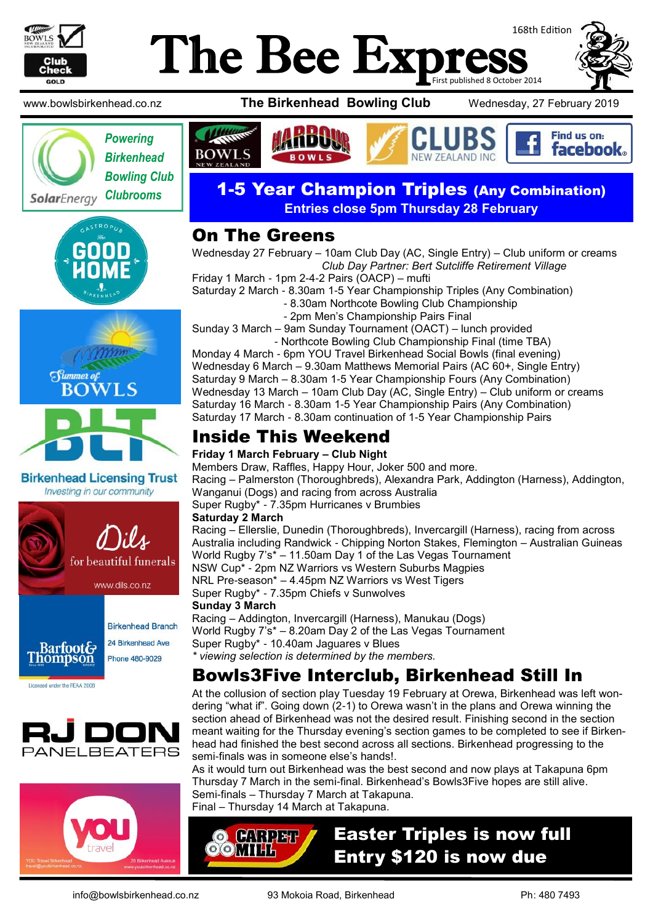

# 168th Edition The Bee Exp First published 8 October 2014









**Birkenhead Licensing Trust** Investing in our community







www.bowlsbirkenhead.co.nz **The Birkenhead Bowling Club** Wednesday, 27 February 2019







### *Clubrooms* 1-5 Year Champion Triples (Any Combination) **Entries close 5pm Thursday 28 February**

### On The Greens

Wednesday 27 February – 10am Club Day (AC, Single Entry) – Club uniform or creams *Club Day Partner: Bert Sutcliffe Retirement Village*

Friday 1 March - 1pm 2-4-2 Pairs (OACP) – mufti Saturday 2 March - 8.30am 1-5 Year Championship Triples (Any Combination)

- 8.30am Northcote Bowling Club Championship
- 2pm Men's Championship Pairs Final

Sunday 3 March – 9am Sunday Tournament (OACT) – lunch provided - Northcote Bowling Club Championship Final (time TBA)

Monday 4 March - 6pm YOU Travel Birkenhead Social Bowls (final evening) Wednesday 6 March – 9.30am Matthews Memorial Pairs (AC 60+, Single Entry) Saturday 9 March – 8.30am 1-5 Year Championship Fours (Any Combination) Wednesday 13 March – 10am Club Day (AC, Single Entry) – Club uniform or creams Saturday 16 March - 8.30am 1-5 Year Championship Pairs (Any Combination) Saturday 17 March - 8.30am continuation of 1-5 Year Championship Pairs

# Inside This Weekend

#### **Friday 1 March February – Club Night**

Members Draw, Raffles, Happy Hour, Joker 500 and more. Racing – Palmerston (Thoroughbreds), Alexandra Park, Addington (Harness), Addington, Wanganui (Dogs) and racing from across Australia Super Rugby\* - 7.35pm Hurricanes v Brumbies **Saturday 2 March**  Racing – Ellerslie, Dunedin (Thoroughbreds), Invercargill (Harness), racing from across

Australia including Randwick - Chipping Norton Stakes, Flemington – Australian Guineas World Rugby 7's\* – 11.50am Day 1 of the Las Vegas Tournament NSW Cup\* - 2pm NZ Warriors vs Western Suburbs Magpies NRL Pre-season\* – 4.45pm NZ Warriors vs West Tigers Super Rugby\* - 7.35pm Chiefs v Sunwolves

#### **Sunday 3 March**

Racing – Addington, Invercargill (Harness), Manukau (Dogs) World Rugby 7's\* – 8.20am Day 2 of the Las Vegas Tournament Super Rugby\* - 10.40am Jaguares v Blues *\* viewing selection is determined by the members.*

# Bowls3Five Interclub, Birkenhead Still In

At the collusion of section play Tuesday 19 February at Orewa, Birkenhead was left wondering "what if". Going down (2-1) to Orewa wasn't in the plans and Orewa winning the section ahead of Birkenhead was not the desired result. Finishing second in the section meant waiting for the Thursday evening's section games to be completed to see if Birkenhead had finished the best second across all sections. Birkenhead progressing to the semi-finals was in someone else's hands!.

As it would turn out Birkenhead was the best second and now plays at Takapuna 6pm Thursday 7 March in the semi-final. Birkenhead's Bowls3Five hopes are still alive. Semi-finals – Thursday 7 March at Takapuna. Final – Thursday 14 March at Takapuna.

**O CARPET** OOMTH

# Easter Triples is now full Entry \$120 is now due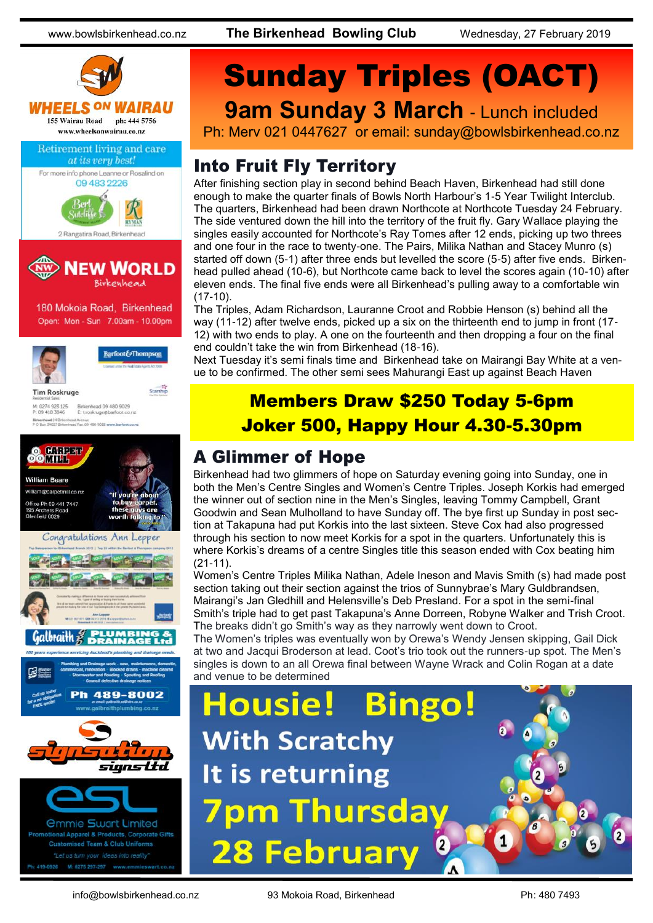

*<u>Ommie Swart Limited</u>* al Apparel & Products, Corporate Gifts sed Team & Club Uniforms M: 0275 297-297

# Sunday Triples (OACT) **9am Sunday 3 March - Lunch included**

Ph: Merv 021 0447627 or email: sunday@bowlsbirkenhead.co.nz

# Into Fruit Fly Territory

After finishing section play in second behind Beach Haven, Birkenhead had still done enough to make the quarter finals of Bowls North Harbour's 1-5 Year Twilight Interclub. The quarters, Birkenhead had been drawn Northcote at Northcote Tuesday 24 February. The side ventured down the hill into the territory of the fruit fly. Gary Wallace playing the singles easily accounted for Northcote's Ray Tomes after 12 ends, picking up two threes and one four in the race to twenty-one. The Pairs, Milika Nathan and Stacey Munro (s) started off down (5-1) after three ends but levelled the score (5-5) after five ends. Birkenhead pulled ahead (10-6), but Northcote came back to level the scores again (10-10) after eleven ends. The final five ends were all Birkenhead's pulling away to a comfortable win (17-10).

The Triples, Adam Richardson, Lauranne Croot and Robbie Henson (s) behind all the way (11-12) after twelve ends, picked up a six on the thirteenth end to jump in front (17- 12) with two ends to play. A one on the fourteenth and then dropping a four on the final end couldn't take the win from Birkenhead (18-16).

Next Tuesday it's semi finals time and Birkenhead take on Mairangi Bay White at a venue to be confirmed. The other semi sees Mahurangi East up against Beach Haven

# Members Draw \$250 Today 5-6pm Joker 500, Happy Hour 4.30-5.30pm

### A Glimmer of Hope

Birkenhead had two glimmers of hope on Saturday evening going into Sunday, one in both the Men's Centre Singles and Women's Centre Triples. Joseph Korkis had emerged the winner out of section nine in the Men's Singles, leaving Tommy Campbell, Grant Goodwin and Sean Mulholland to have Sunday off. The bye first up Sunday in post section at Takapuna had put Korkis into the last sixteen. Steve Cox had also progressed through his section to now meet Korkis for a spot in the quarters. Unfortunately this is where Korkis's dreams of a centre Singles title this season ended with Cox beating him (21-11).

Women's Centre Triples Milika Nathan, Adele Ineson and Mavis Smith (s) had made post section taking out their section against the trios of Sunnybrae's Mary Guldbrandsen, Mairangi's Jan Gledhill and Helensville's Deb Presland. For a spot in the semi-final Smith's triple had to get past Takapuna's Anne Dorreen, Robyne Walker and Trish Croot. The breaks didn't go Smith's way as they narrowly went down to Croot.

The Women's triples was eventually won by Orewa's Wendy Jensen skipping, Gail Dick at two and Jacqui Broderson at lead. Coot's trio took out the runners-up spot. The Men's singles is down to an all Orewa final between Wayne Wrack and Colin Rogan at a date and venue to be determined

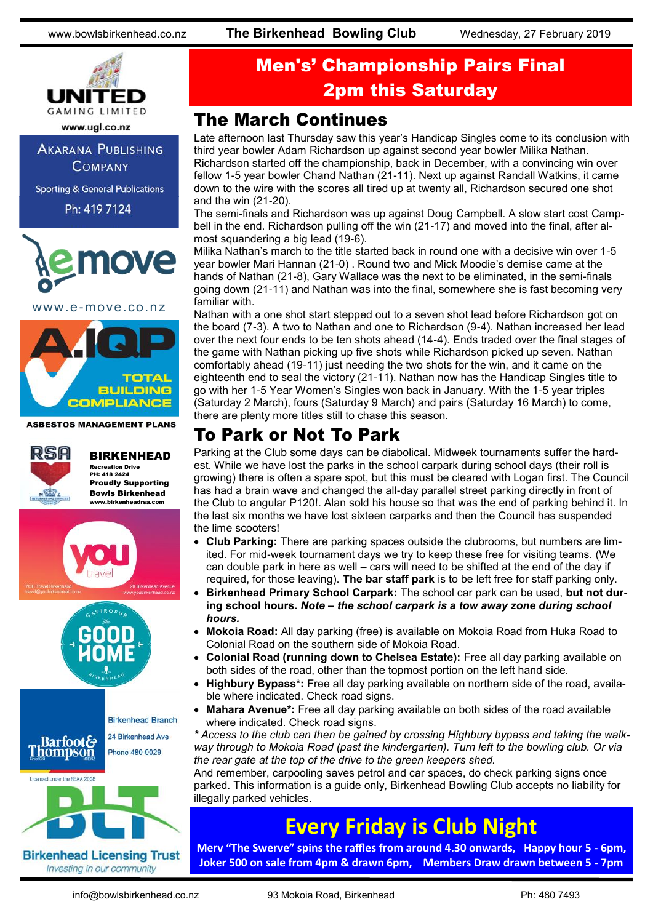

**AKARANA PUBLISHING COMPANY** 

**Sporting & General Publications** 

Ph: 419 7124



www.e-move.co.nz



**ASBESTOS MANAGEMENT PLANS** 



BIRKENHEAD Recreation Drive PH: 418 2424 Proudly Supporting Bowls Birkenhead www.birkenheadrsa.com



#### Investing in our community

# Men's' Championship Pairs Final 2pm this Saturday

### The March Continues

Late afternoon last Thursday saw this year's Handicap Singles come to its conclusion with third year bowler Adam Richardson up against second year bowler Milika Nathan. Richardson started off the championship, back in December, with a convincing win over fellow 1-5 year bowler Chand Nathan (21-11). Next up against Randall Watkins, it came down to the wire with the scores all tired up at twenty all, Richardson secured one shot and the win (21-20).

The semi-finals and Richardson was up against Doug Campbell. A slow start cost Campbell in the end. Richardson pulling off the win (21-17) and moved into the final, after almost squandering a big lead (19-6).

Milika Nathan's march to the title started back in round one with a decisive win over 1-5 year bowler Mari Hannan (21-0) . Round two and Mick Moodie's demise came at the hands of Nathan (21-8), Gary Wallace was the next to be eliminated, in the semi-finals going down (21-11) and Nathan was into the final, somewhere she is fast becoming very familiar with.

Nathan with a one shot start stepped out to a seven shot lead before Richardson got on the board (7-3). A two to Nathan and one to Richardson (9-4). Nathan increased her lead over the next four ends to be ten shots ahead (14-4). Ends traded over the final stages of the game with Nathan picking up five shots while Richardson picked up seven. Nathan comfortably ahead (19-11) just needing the two shots for the win, and it came on the eighteenth end to seal the victory (21-11). Nathan now has the Handicap Singles title to go with her 1-5 Year Women's Singles won back in January. With the 1-5 year triples (Saturday 2 March), fours (Saturday 9 March) and pairs (Saturday 16 March) to come, there are plenty more titles still to chase this season.

### To Park or Not To Park

Parking at the Club some days can be diabolical. Midweek tournaments suffer the hardest. While we have lost the parks in the school carpark during school days (their roll is growing) there is often a spare spot, but this must be cleared with Logan first. The Council has had a brain wave and changed the all-day parallel street parking directly in front of the Club to angular P120!. Alan sold his house so that was the end of parking behind it. In the last six months we have lost sixteen carparks and then the Council has suspended the lime scooters!

- **Club Parking:** There are parking spaces outside the clubrooms, but numbers are limited. For mid-week tournament days we try to keep these free for visiting teams. (We can double park in here as well – cars will need to be shifted at the end of the day if required, for those leaving). **The bar staff park** is to be left free for staff parking only.
- **Birkenhead Primary School Carpark:** The school car park can be used, **but not during school hours.** *Note – the school carpark is a tow away zone during school hours.*
- **Mokoia Road:** All day parking (free) is available on Mokoia Road from Huka Road to Colonial Road on the southern side of Mokoia Road.
- **Colonial Road (running down to Chelsea Estate):** Free all day parking available on both sides of the road, other than the topmost portion on the left hand side.
- **Highbury Bypass\*:** Free all day parking available on northern side of the road, available where indicated. Check road signs.
- **Mahara Avenue\*:** Free all day parking available on both sides of the road available where indicated. Check road signs.

*\* Access to the club can then be gained by crossing Highbury bypass and taking the walkway through to Mokoia Road (past the kindergarten). Turn left to the bowling club. Or via the rear gate at the top of the drive to the green keepers shed.*

And remember, carpooling saves petrol and car spaces, do check parking signs once parked. This information is a guide only, Birkenhead Bowling Club accepts no liability for illegally parked vehicles.

# **Every Friday is Club Night**

**Merv "The Swerve" spins the raffles from around 4.30 onwards, Happy hour 5 - 6pm, Joker 500 on sale from 4pm & drawn 6pm, Members Draw drawn between 5 - 7pm**